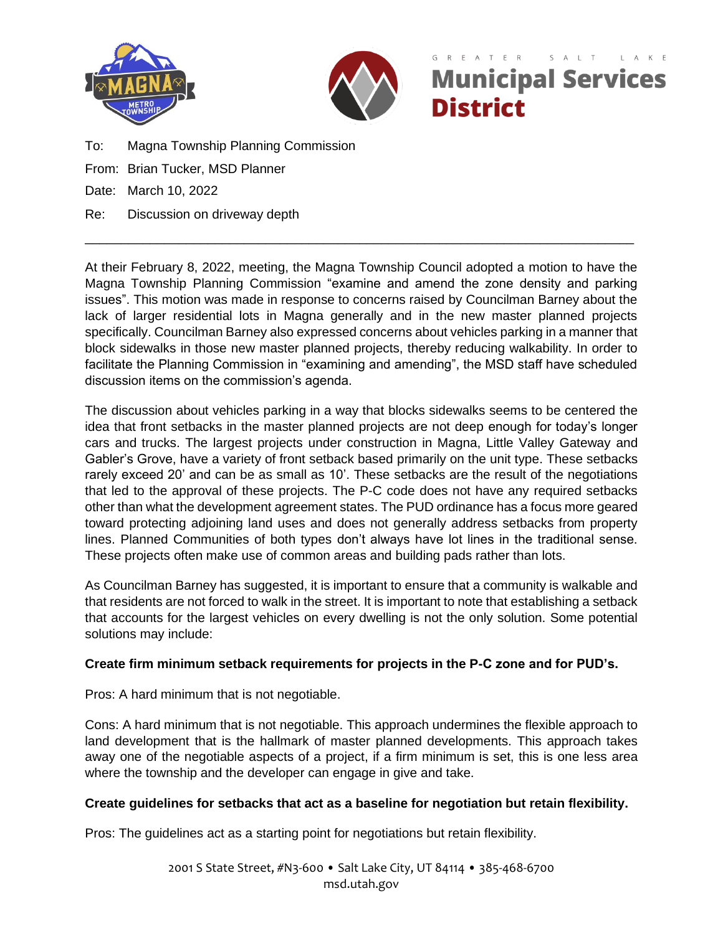



# $T$   $F$   $R$ **Municipal Services District**

- To: Magna Township Planning Commission
- From: Brian Tucker, MSD Planner
- Date: March 10, 2022
- Re: Discussion on driveway depth

At their February 8, 2022, meeting, the Magna Township Council adopted a motion to have the Magna Township Planning Commission "examine and amend the zone density and parking issues". This motion was made in response to concerns raised by Councilman Barney about the lack of larger residential lots in Magna generally and in the new master planned projects specifically. Councilman Barney also expressed concerns about vehicles parking in a manner that block sidewalks in those new master planned projects, thereby reducing walkability. In order to facilitate the Planning Commission in "examining and amending", the MSD staff have scheduled discussion items on the commission's agenda.

\_\_\_\_\_\_\_\_\_\_\_\_\_\_\_\_\_\_\_\_\_\_\_\_\_\_\_\_\_\_\_\_\_\_\_\_\_\_\_\_\_\_\_\_\_\_\_\_\_\_\_\_\_\_\_\_\_\_\_\_\_\_\_\_\_\_\_\_\_\_\_\_\_\_\_\_

The discussion about vehicles parking in a way that blocks sidewalks seems to be centered the idea that front setbacks in the master planned projects are not deep enough for today's longer cars and trucks. The largest projects under construction in Magna, Little Valley Gateway and Gabler's Grove, have a variety of front setback based primarily on the unit type. These setbacks rarely exceed 20' and can be as small as 10'. These setbacks are the result of the negotiations that led to the approval of these projects. The P-C code does not have any required setbacks other than what the development agreement states. The PUD ordinance has a focus more geared toward protecting adjoining land uses and does not generally address setbacks from property lines. Planned Communities of both types don't always have lot lines in the traditional sense. These projects often make use of common areas and building pads rather than lots.

As Councilman Barney has suggested, it is important to ensure that a community is walkable and that residents are not forced to walk in the street. It is important to note that establishing a setback that accounts for the largest vehicles on every dwelling is not the only solution. Some potential solutions may include:

## **Create firm minimum setback requirements for projects in the P-C zone and for PUD's.**

Pros: A hard minimum that is not negotiable.

Cons: A hard minimum that is not negotiable. This approach undermines the flexible approach to land development that is the hallmark of master planned developments. This approach takes away one of the negotiable aspects of a project, if a firm minimum is set, this is one less area where the township and the developer can engage in give and take.

## **Create guidelines for setbacks that act as a baseline for negotiation but retain flexibility.**

Pros: The guidelines act as a starting point for negotiations but retain flexibility.